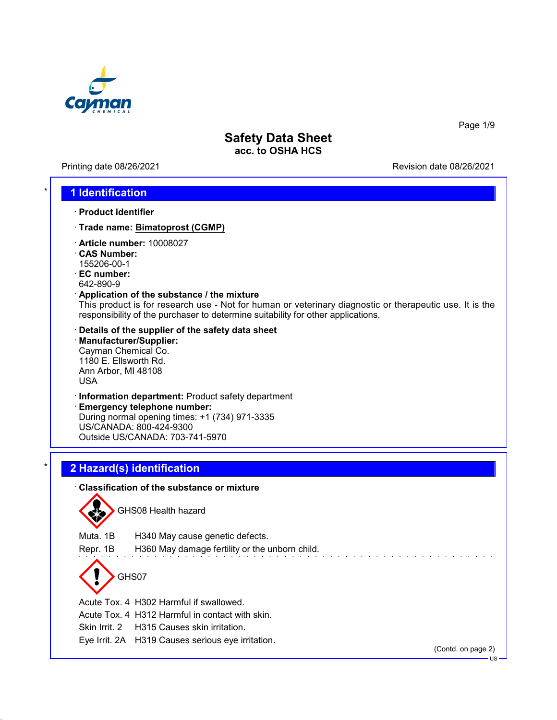

Printing date 08/26/2021 Revision date 08/26/2021

Page 1/9

#### \* **1 Identification**

- · **Product identifier**
- · **Trade name: Bimatoprost (CGMP)**
- · **Article number:** 10008027
- · **CAS Number:** 155206-00-1
- · **EC number:** 642-890-9
- · **Application of the substance / the mixture**

This product is for research use - Not for human or veterinary diagnostic or therapeutic use. It is the responsibility of the purchaser to determine suitability for other applications.

- · **Details of the supplier of the safety data sheet**
- · **Manufacturer/Supplier:** Cayman Chemical Co. 1180 E. Ellsworth Rd. Ann Arbor, MI 48108 USA
- · **Information department:** Product safety department

· **Emergency telephone number:** During normal opening times: +1 (734) 971-3335 US/CANADA: 800-424-9300 Outside US/CANADA: 703-741-5970

# \* **2 Hazard(s) identification**

#### · **Classification of the substance or mixture**



GHS08 Health hazard

Muta. 1B H340 May cause genetic defects.

Repr. 1B H360 May damage fertility or the unborn child.

GHS07

Acute Tox. 4 H302 Harmful if swallowed.

Acute Tox. 4 H312 Harmful in contact with skin.

Skin Irrit. 2 H315 Causes skin irritation.

Eye Irrit. 2A H319 Causes serious eye irritation.

(Contd. on page 2)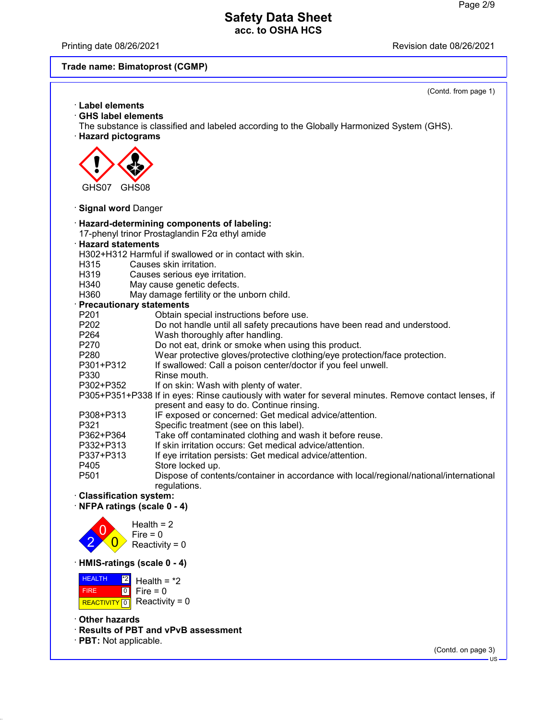Printing date 08/26/2021 **Printing date 08/26/2021** 

# **Trade name: Bimatoprost (CGMP)**

|                                     | (Contd. from page 1)                                                                                                                        |
|-------------------------------------|---------------------------------------------------------------------------------------------------------------------------------------------|
| <b>Label elements</b>               |                                                                                                                                             |
| <b>GHS label elements</b>           |                                                                                                                                             |
|                                     | The substance is classified and labeled according to the Globally Harmonized System (GHS).                                                  |
| · Hazard pictograms                 |                                                                                                                                             |
|                                     |                                                                                                                                             |
|                                     |                                                                                                                                             |
|                                     |                                                                                                                                             |
|                                     |                                                                                                                                             |
| GHS07<br>GHS08                      |                                                                                                                                             |
|                                     |                                                                                                                                             |
| · Signal word Danger                |                                                                                                                                             |
|                                     |                                                                                                                                             |
|                                     | · Hazard-determining components of labeling:                                                                                                |
|                                     | 17-phenyl trinor Prostaglandin F2a ethyl amide                                                                                              |
| <b>Hazard statements</b>            |                                                                                                                                             |
|                                     | H302+H312 Harmful if swallowed or in contact with skin.                                                                                     |
| H315                                | Causes skin irritation.                                                                                                                     |
| H319                                | Causes serious eye irritation.                                                                                                              |
| H340                                | May cause genetic defects.                                                                                                                  |
| H360                                | May damage fertility or the unborn child.                                                                                                   |
| · Precautionary statements          |                                                                                                                                             |
| P <sub>201</sub>                    | Obtain special instructions before use.                                                                                                     |
| P202                                | Do not handle until all safety precautions have been read and understood.                                                                   |
| P264                                | Wash thoroughly after handling.                                                                                                             |
| P270                                | Do not eat, drink or smoke when using this product.                                                                                         |
| P <sub>280</sub>                    | Wear protective gloves/protective clothing/eye protection/face protection.<br>If swallowed: Call a poison center/doctor if you feel unwell. |
| P301+P312<br>P330                   | Rinse mouth.                                                                                                                                |
| P302+P352                           | If on skin: Wash with plenty of water.                                                                                                      |
|                                     | P305+P351+P338 If in eyes: Rinse cautiously with water for several minutes. Remove contact lenses, if                                       |
|                                     | present and easy to do. Continue rinsing.                                                                                                   |
| P308+P313                           | IF exposed or concerned: Get medical advice/attention.                                                                                      |
| P321                                | Specific treatment (see on this label).                                                                                                     |
| P362+P364                           | Take off contaminated clothing and wash it before reuse.                                                                                    |
| P332+P313                           | If skin irritation occurs: Get medical advice/attention.                                                                                    |
| P337+P313                           | If eye irritation persists: Get medical advice/attention.                                                                                   |
| P405                                | Store locked up.                                                                                                                            |
| P <sub>501</sub>                    | Dispose of contents/container in accordance with local/regional/national/international                                                      |
|                                     | regulations.                                                                                                                                |
| <b>Classification system:</b>       |                                                                                                                                             |
| $\cdot$ NFPA ratings (scale 0 - 4)  |                                                                                                                                             |
|                                     |                                                                                                                                             |
|                                     | Health = $2$                                                                                                                                |
|                                     | $Fire = 0$                                                                                                                                  |
|                                     | Reactivity = $0$                                                                                                                            |
|                                     |                                                                                                                                             |
| HMIS-ratings (scale 0 - 4)          |                                                                                                                                             |
| <b>HEALTH</b><br> *2                | Health = $*2$                                                                                                                               |
| 0 <br><b>FIRE</b>                   | Fire $= 0$                                                                                                                                  |
|                                     | Reactivity = $0$                                                                                                                            |
| <b>REACTIVITY</b><br>$\overline{0}$ |                                                                                                                                             |
| ∙ Other hazards                     |                                                                                                                                             |
|                                     | · Results of PBT and vPvB assessment                                                                                                        |
| · PBT: Not applicable.              |                                                                                                                                             |
|                                     | (Contd. on page 3)                                                                                                                          |
|                                     | $US -$                                                                                                                                      |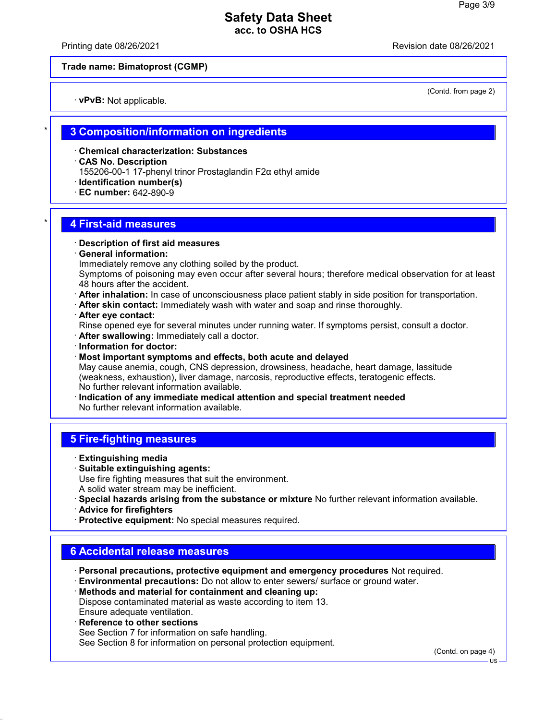Printing date 08/26/2021 Revision date 08/26/2021

**Trade name: Bimatoprost (CGMP)**

· **vPvB:** Not applicable.

(Contd. from page 2)

#### \* **3 Composition/information on ingredients**

- · **Chemical characterization: Substances**
- · **CAS No. Description**
- 155206-00-1 17-phenyl trinor Prostaglandin F2α ethyl amide
- · **Identification number(s)**
- · **EC number:** 642-890-9

### \* **4 First-aid measures**

- · **Description of first aid measures**
- · **General information:**
- Immediately remove any clothing soiled by the product.

Symptoms of poisoning may even occur after several hours; therefore medical observation for at least 48 hours after the accident.

- · **After inhalation:** In case of unconsciousness place patient stably in side position for transportation.
- · **After skin contact:** Immediately wash with water and soap and rinse thoroughly.
- · **After eye contact:**
- Rinse opened eye for several minutes under running water. If symptoms persist, consult a doctor.
- · **After swallowing:** Immediately call a doctor.
- · **Information for doctor:**
- · **Most important symptoms and effects, both acute and delayed**

May cause anemia, cough, CNS depression, drowsiness, headache, heart damage, lassitude (weakness, exhaustion), liver damage, narcosis, reproductive effects, teratogenic effects. No further relevant information available.

· **Indication of any immediate medical attention and special treatment needed** No further relevant information available.

### **5 Fire-fighting measures**

- · **Extinguishing media**
- · **Suitable extinguishing agents:** Use fire fighting measures that suit the environment. A solid water stream may be inefficient.
- · **Special hazards arising from the substance or mixture** No further relevant information available.
- · **Advice for firefighters**
- · **Protective equipment:** No special measures required.

## **6 Accidental release measures**

- · **Personal precautions, protective equipment and emergency procedures** Not required.
- · **Environmental precautions:** Do not allow to enter sewers/ surface or ground water.
- · **Methods and material for containment and cleaning up:** Dispose contaminated material as waste according to item 13. Ensure adequate ventilation.
- · **Reference to other sections** See Section 7 for information on safe handling. See Section 8 for information on personal protection equipment.

(Contd. on page 4)

US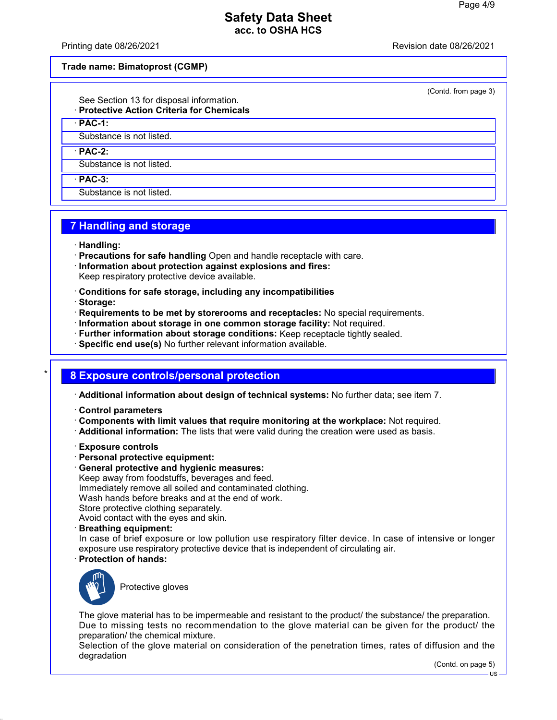Printing date 08/26/2021 Revision date 08/26/2021

**Trade name: Bimatoprost (CGMP)**

(Contd. from page 3)

See Section 13 for disposal information. · **Protective Action Criteria for Chemicals**

· **PAC-1:**

Substance is not listed.

· **PAC-2:**

Substance is not listed.

· **PAC-3:**

Substance is not listed.

# **7 Handling and storage**

- · **Handling:**
- · **Precautions for safe handling** Open and handle receptacle with care.
- · **Information about protection against explosions and fires:** Keep respiratory protective device available.
- · **Conditions for safe storage, including any incompatibilities**
- · **Storage:**
- · **Requirements to be met by storerooms and receptacles:** No special requirements.
- · **Information about storage in one common storage facility:** Not required.
- · **Further information about storage conditions:** Keep receptacle tightly sealed.
- · **Specific end use(s)** No further relevant information available.

# \* **8 Exposure controls/personal protection**

· **Additional information about design of technical systems:** No further data; see item 7.

- · **Control parameters**
- · **Components with limit values that require monitoring at the workplace:** Not required.
- · **Additional information:** The lists that were valid during the creation were used as basis.
- · **Exposure controls**
- · **Personal protective equipment:**
- · **General protective and hygienic measures:** Keep away from foodstuffs, beverages and feed. Immediately remove all soiled and contaminated clothing. Wash hands before breaks and at the end of work. Store protective clothing separately. Avoid contact with the eyes and skin.
- · **Breathing equipment:**

In case of brief exposure or low pollution use respiratory filter device. In case of intensive or longer exposure use respiratory protective device that is independent of circulating air.

· **Protection of hands:**



Protective gloves

The glove material has to be impermeable and resistant to the product/ the substance/ the preparation. Due to missing tests no recommendation to the glove material can be given for the product/ the preparation/ the chemical mixture.

Selection of the glove material on consideration of the penetration times, rates of diffusion and the degradation

(Contd. on page 5)

US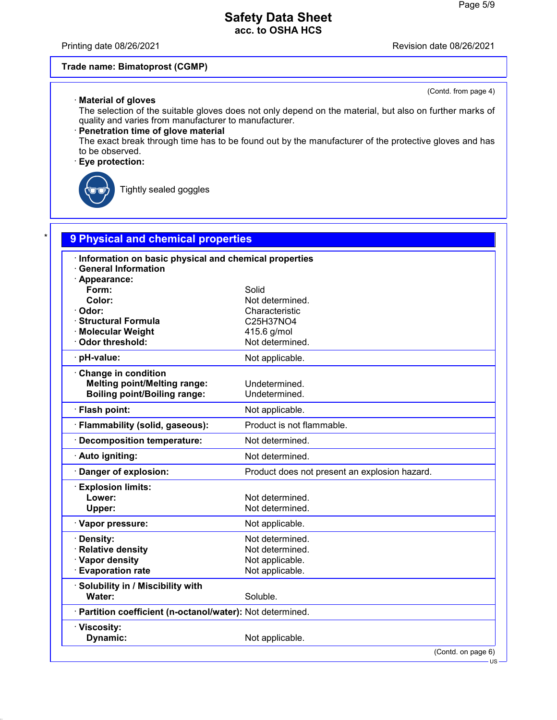Printing date 08/26/2021 **Printing date 08/26/2021** 

(Contd. from page 4)

#### **Trade name: Bimatoprost (CGMP)**

#### · **Material of gloves**

The selection of the suitable gloves does not only depend on the material, but also on further marks of quality and varies from manufacturer to manufacturer.

#### · **Penetration time of glove material**

The exact break through time has to be found out by the manufacturer of the protective gloves and has to be observed.

### · **Eye protection:**



Tightly sealed goggles

| Information on basic physical and chemical properties      |                                               |
|------------------------------------------------------------|-----------------------------------------------|
| <b>General Information</b><br>· Appearance:                |                                               |
| Form:                                                      | Solid                                         |
| Color:                                                     | Not determined.                               |
| · Odor:                                                    | Characteristic                                |
| · Structural Formula                                       | C25H37NO4                                     |
| · Molecular Weight                                         | 415.6 g/mol                                   |
| · Odor threshold:                                          | Not determined.                               |
| · pH-value:                                                | Not applicable.                               |
| Change in condition                                        |                                               |
| <b>Melting point/Melting range:</b>                        | Undetermined.                                 |
| <b>Boiling point/Boiling range:</b>                        | Undetermined.                                 |
| · Flash point:                                             | Not applicable.                               |
| · Flammability (solid, gaseous):                           | Product is not flammable.                     |
| · Decomposition temperature:                               | Not determined.                               |
| · Auto igniting:                                           | Not determined.                               |
| Danger of explosion:                                       | Product does not present an explosion hazard. |
| <b>Explosion limits:</b>                                   |                                               |
| Lower:                                                     | Not determined.                               |
| Upper:                                                     | Not determined.                               |
| · Vapor pressure:                                          | Not applicable.                               |
| · Density:                                                 | Not determined.                               |
| · Relative density                                         | Not determined.                               |
| · Vapor density                                            | Not applicable.                               |
| <b>Evaporation rate</b>                                    | Not applicable.                               |
| · Solubility in / Miscibility with                         |                                               |
| Water:                                                     | Soluble.                                      |
| · Partition coefficient (n-octanol/water): Not determined. |                                               |
| · Viscosity:                                               |                                               |
| Dynamic:                                                   | Not applicable.                               |

(Contd. on page 6)

US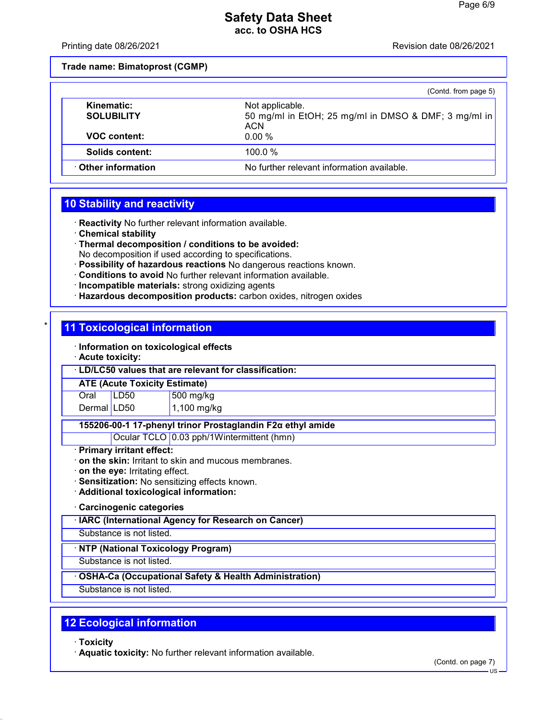Printing date 08/26/2021 Revision date 08/26/2021

**Trade name: Bimatoprost (CGMP)**

|                                 | (Contd. from page 5)                                                                  |
|---------------------------------|---------------------------------------------------------------------------------------|
| Kinematic:<br><b>SOLUBILITY</b> | Not applicable.<br>50 mg/ml in EtOH; 25 mg/ml in DMSO & DMF; 3 mg/ml in<br><b>ACN</b> |
| <b>VOC content:</b>             | $0.00\%$                                                                              |
| Solids content:                 | 100.0 $%$                                                                             |
| ⋅ Other information             | No further relevant information available.                                            |

# **10 Stability and reactivity**

· **Reactivity** No further relevant information available.

- · **Chemical stability**
- · **Thermal decomposition / conditions to be avoided:** No decomposition if used according to specifications.
- · **Possibility of hazardous reactions** No dangerous reactions known.
- · **Conditions to avoid** No further relevant information available.
- · **Incompatible materials:** strong oxidizing agents
- · **Hazardous decomposition products:** carbon oxides, nitrogen oxides

### **11 Toxicological information**

- · **Information on toxicological effects**
- · **Acute toxicity:**

· **LD/LC50 values that are relevant for classification:**

**ATE (Acute Toxicity Estimate)**

Oral LD50 500 mg/kg Dermal LD50  $1,100$  mg/kg

#### **155206-00-1 17-phenyl trinor Prostaglandin F2α ethyl amide**

Ocular TCLO 0.03 pph/1Wintermittent (hmn)

#### · **Primary irritant effect:**

- · **on the skin:** Irritant to skin and mucous membranes.
- · **on the eye:** Irritating effect.
- · **Sensitization:** No sensitizing effects known.
- · **Additional toxicological information:**

#### · **Carcinogenic categories**

#### · **IARC (International Agency for Research on Cancer)**

Substance is not listed.

#### · **NTP (National Toxicology Program)**

Substance is not listed.

#### · **OSHA-Ca (Occupational Safety & Health Administration)**

Substance is not listed.

# **12 Ecological information**

· **Toxicity**

· **Aquatic toxicity:** No further relevant information available.

(Contd. on page 7)

US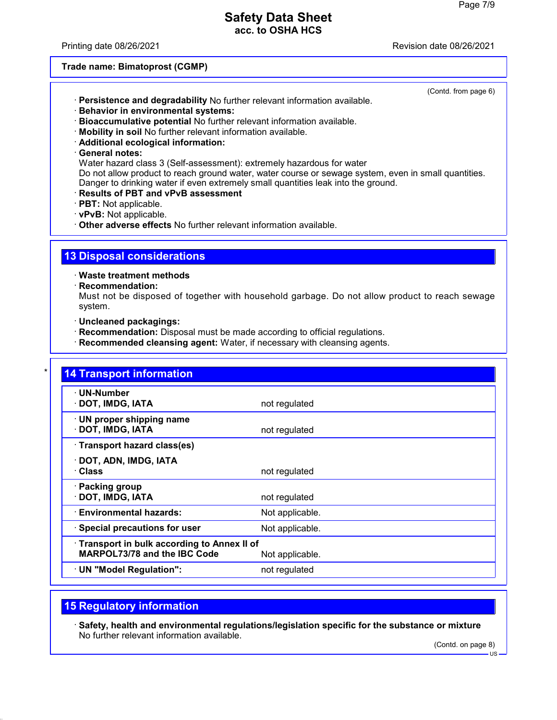Printing date 08/26/2021 Revision date 08/26/2021

(Contd. from page 6)

**Trade name: Bimatoprost (CGMP)**

- · **Persistence and degradability** No further relevant information available.
- · **Behavior in environmental systems:**
- · **Bioaccumulative potential** No further relevant information available.
- · **Mobility in soil** No further relevant information available.
- · **Additional ecological information:**

#### · **General notes:**

Water hazard class 3 (Self-assessment): extremely hazardous for water Do not allow product to reach ground water, water course or sewage system, even in small quantities. Danger to drinking water if even extremely small quantities leak into the ground.

- · **Results of PBT and vPvB assessment**
- · **PBT:** Not applicable.
- · **vPvB:** Not applicable.
- · **Other adverse effects** No further relevant information available.

### **13 Disposal considerations**

· **Waste treatment methods**

· **Recommendation:**

Must not be disposed of together with household garbage. Do not allow product to reach sewage system.

- · **Uncleaned packagings:**
- · **Recommendation:** Disposal must be made according to official regulations.
- · **Recommended cleansing agent:** Water, if necessary with cleansing agents.

| · UN-Number                                |                 |
|--------------------------------------------|-----------------|
| · DOT, IMDG, IATA                          | not regulated   |
| · UN proper shipping name                  |                 |
| · DOT, IMDG, IATA                          | not regulated   |
| · Transport hazard class(es)               |                 |
| · DOT, ADN, IMDG, IATA                     |                 |
| · Class                                    | not regulated   |
| · Packing group                            |                 |
| · DOT, IMDG, IATA                          | not regulated   |
| · Environmental hazards:                   | Not applicable. |
| · Special precautions for user             | Not applicable. |
| Transport in bulk according to Annex II of |                 |
| <b>MARPOL73/78 and the IBC Code</b>        | Not applicable. |

# **15 Regulatory information**

· **Safety, health and environmental regulations/legislation specific for the substance or mixture** No further relevant information available.

(Contd. on page 8)

US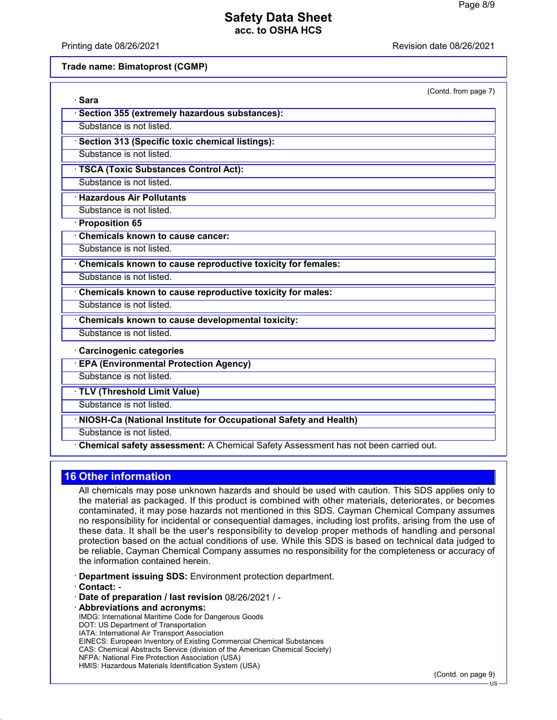Printing date 08/26/2021 Revision date 08/26/2021

**Trade name: Bimatoprost (CGMP)**

| (Contd. from page 7)                                                               |
|------------------------------------------------------------------------------------|
| · Sara                                                                             |
| Section 355 (extremely hazardous substances):                                      |
| Substance is not listed.                                                           |
| · Section 313 (Specific toxic chemical listings):                                  |
| Substance is not listed                                                            |
| TSCA (Toxic Substances Control Act):                                               |
| Substance is not listed.                                                           |
| <b>Hazardous Air Pollutants</b>                                                    |
| Substance is not listed.                                                           |
| · Proposition 65                                                                   |
| Chemicals known to cause cancer:                                                   |
| Substance is not listed.                                                           |
| Chemicals known to cause reproductive toxicity for females:                        |
| Substance is not listed.                                                           |
| Chemicals known to cause reproductive toxicity for males:                          |
| Substance is not listed.                                                           |
| Chemicals known to cause developmental toxicity:                                   |
| Substance is not listed.                                                           |
| <b>Carcinogenic categories</b>                                                     |
| <b>EPA (Environmental Protection Agency)</b>                                       |
| Substance is not listed.                                                           |
| · TLV (Threshold Limit Value)                                                      |
| Substance is not listed.                                                           |
| NIOSH-Ca (National Institute for Occupational Safety and Health)                   |
| Substance is not listed.                                                           |
| Chemical safety assessment: A Chemical Safety Assessment has not been carried out. |

# **16 Other information**

All chemicals may pose unknown hazards and should be used with caution. This SDS applies only to the material as packaged. If this product is combined with other materials, deteriorates, or becomes contaminated, it may pose hazards not mentioned in this SDS. Cayman Chemical Company assumes no responsibility for incidental or consequential damages, including lost profits, arising from the use of these data. It shall be the user's responsibility to develop proper methods of handling and personal protection based on the actual conditions of use. While this SDS is based on technical data judged to be reliable, Cayman Chemical Company assumes no responsibility for the completeness or accuracy of the information contained herein.

- · **Department issuing SDS:** Environment protection department.
- · **Contact:** -
- · **Date of preparation / last revision** 08/26/2021 / -
- · **Abbreviations and acronyms:**

IMDG: International Maritime Code for Dangerous Goods DOT: US Department of Transportation IATA: International Air Transport Association EINECS: European Inventory of Existing Commercial Chemical Substances CAS: Chemical Abstracts Service (division of the American Chemical Society) NFPA: National Fire Protection Association (USA) HMIS: Hazardous Materials Identification System (USA)

(Contd. on page 9)